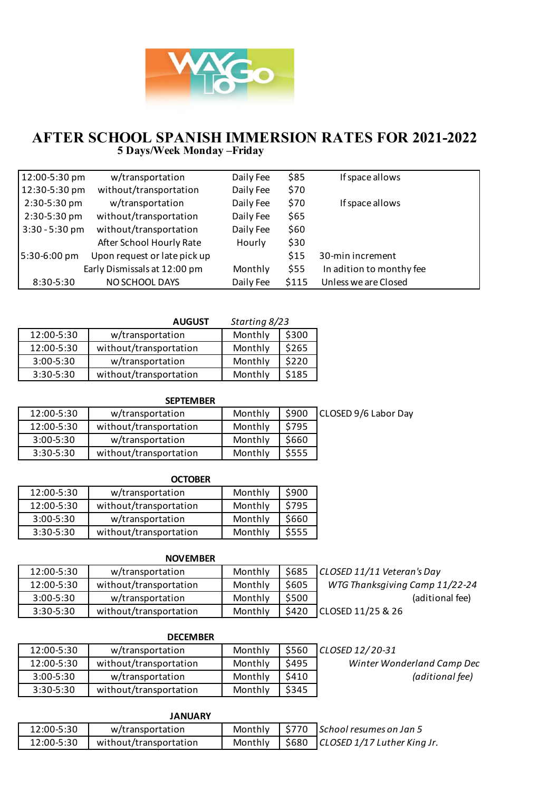

## **5 Days/Week Monday –Friday AFTER SCHOOL SPANISH IMMERSION RATES FOR 2021-2022**

| 12:00-5:30 pm    | w/transportation             | Daily Fee | \$85  | If space allows          |
|------------------|------------------------------|-----------|-------|--------------------------|
| 12:30-5:30 pm    | without/transportation       | Daily Fee | \$70  |                          |
| 2:30-5:30 pm     | w/transportation             | Daily Fee | \$70  | If space allows          |
| 2:30-5:30 pm     | without/transportation       | Daily Fee | \$65  |                          |
| $3:30 - 5:30$ pm | without/transportation       | Daily Fee | \$60  |                          |
|                  | After School Hourly Rate     | Hourly    | \$30  |                          |
| 5:30-6:00 pm     | Upon request or late pick up |           | \$15  | 30-min increment         |
|                  | Early Dismissals at 12:00 pm | Monthly   | \$55  | In adition to monthy fee |
| 8:30-5:30        | <b>NO SCHOOL DAYS</b>        | Daily Fee | \$115 | Unless we are Closed     |

|               | <b>AUGUST</b>          | Starting 8/23 |       |
|---------------|------------------------|---------------|-------|
| 12:00-5:30    | w/transportation       | Monthly       | \$300 |
| 12:00-5:30    | without/transportation | Monthly       | \$265 |
| $3:00 - 5:30$ | w/transportation       | Monthly       | \$220 |
| $3:30-5:30$   | without/transportation | Monthly       | \$185 |

| EPTEMBER |  |
|----------|--|
|          |  |

| 12:00-5:30    | w/transportation       | Monthly | \$900 | CLOSED 9/6 Labor Day |
|---------------|------------------------|---------|-------|----------------------|
| 12:00-5:30    | without/transportation | Monthly | \$795 |                      |
| $3:00 - 5:30$ | w/transportation       | Monthly | \$660 |                      |
| $3:30-5:30$   | without/transportation | Monthly | \$555 |                      |

| 12:00-5:30    | w/transportation       | Monthly | \$900 |
|---------------|------------------------|---------|-------|
| 12:00-5:30    | without/transportation | Monthly | \$795 |
| $3:00 - 5:30$ | w/transportation       | Monthly | \$660 |
| $3:30-5:30$   | without/transportation | Monthly | \$555 |

|               | <b>NOVEMBER</b>        |         |       |                                |
|---------------|------------------------|---------|-------|--------------------------------|
| 12:00-5:30    | w/transportation       | Monthly | \$685 | CLOSED 11/11 Veteran's Day     |
| 12:00-5:30    | without/transportation | Monthly | \$605 | WTG Thanksgiving Camp 11/22-24 |
| $3:00 - 5:30$ | w/transportation       | Monthly | \$500 | (aditional fee)                |
| $3:30-5:30$   | without/transportation | Monthly | \$420 | CLOSED 11/25 & 26              |

|               | <b>DECEMBER</b>        |         |       |                            |
|---------------|------------------------|---------|-------|----------------------------|
| 12:00-5:30    | w/transportation       | Monthly | \$560 | $CLOSED$ 12/20-31          |
| 12:00-5:30    | without/transportation | Monthly | \$495 | Winter Wonderland Camp Dec |
| $3:00 - 5:30$ | w/transportation       | Monthly | \$410 | (aditional fee)            |
| $3:30-5:30$   | without/transportation | Monthly | \$345 |                            |

|            | <b>JANUARY</b>         |         |                                                 |
|------------|------------------------|---------|-------------------------------------------------|
| 12:00-5:30 | w/transportation       |         | Monthly $\int$ \$770 School resumes on Jan 5    |
| 12:00-5:30 | without/transportation | Monthly | $\frac{1}{2}$ \$680 CLOSED 1/17 Luther King Jr. |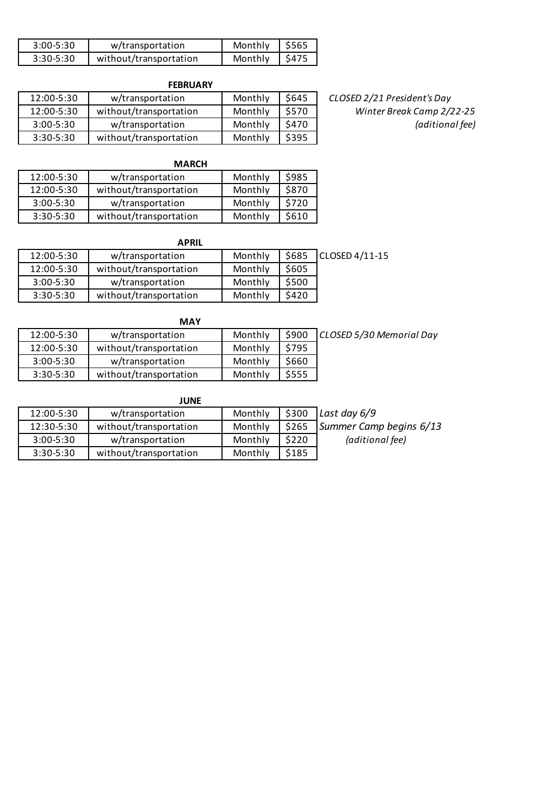| $3:00 - 5:30$ | w/transportation       | Monthly | L \$565 |
|---------------|------------------------|---------|---------|
| $3:30-5:30$   | without/transportation | Monthly | I \$475 |

### **FEBRUARY**

| 12:00-5:30    | w/transportation       | Monthly | \$645 |
|---------------|------------------------|---------|-------|
| 12:00-5:30    | without/transportation | Monthly | \$570 |
| $3:00 - 5:30$ | w/transportation       | Monthly | \$470 |
| $3:30-5:30$   | without/transportation | Monthly | \$395 |

12:00-5:30 w/transportation Monthly *CLOSED 2/21 President's Day* \$645 Winter Break Camp 2/22-25 3:00-5:30 w/transportation Monthly \$470 *(aditional fee)*

## **MARCH**

| 12:00-5:30    | w/transportation       | Monthly | \$985 |
|---------------|------------------------|---------|-------|
| 12:00-5:30    | without/transportation | Monthly | \$870 |
| $3:00 - 5:30$ | w/transportation       | Monthly | \$720 |
| $3:30-5:30$   | without/transportation | Monthly | \$610 |

### **APRIL**

| 12:00-5:30    | w/transportation       | Monthly | \$685 | CLOSED 4/11-15 |
|---------------|------------------------|---------|-------|----------------|
| 12:00-5:30    | without/transportation | Monthly | \$605 |                |
| $3:00 - 5:30$ | w/transportation       | Monthly | \$500 |                |
| $3:30-5:30$   | without/transportation | Monthly | \$420 |                |

|               | <b>MAY</b>             |         |       |                          |
|---------------|------------------------|---------|-------|--------------------------|
| 12:00-5:30    | w/transportation       | Monthly | \$900 | CLOSED 5/30 Memorial Day |
| 12:00-5:30    | without/transportation | Monthly | \$795 |                          |
| $3:00 - 5:30$ | w/transportation       | Monthly | \$660 |                          |
| $3:30-5:30$   | without/transportation | Monthly | \$555 |                          |

### **JUNE**

| 12:00-5:30    | w/transportation       | Monthly | \$300 | Last day $6/9$          |
|---------------|------------------------|---------|-------|-------------------------|
| 12:30-5:30    | without/transportation | Monthly | \$265 | Summer Camp begins 6/13 |
| $3:00 - 5:30$ | w/transportation       | Monthly | \$220 | (aditional fee)         |
| $3:30-5:30$   | without/transportation | Monthly | \$185 |                         |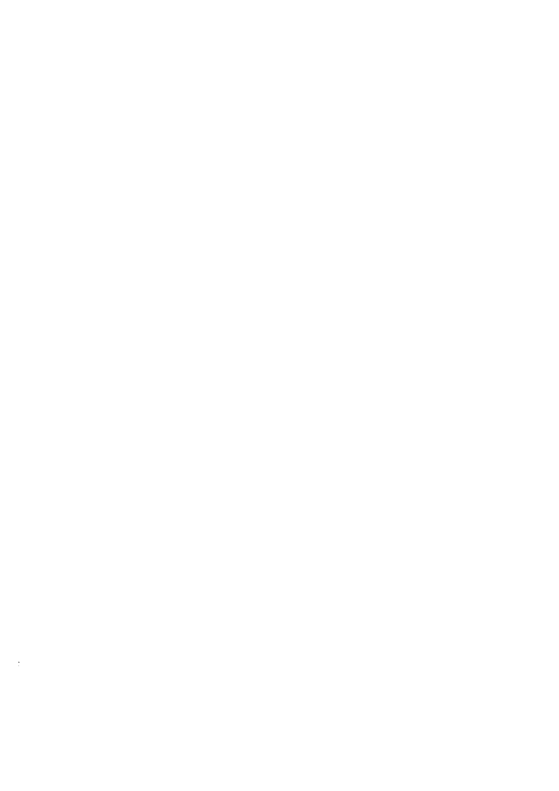$\frac{1}{2}$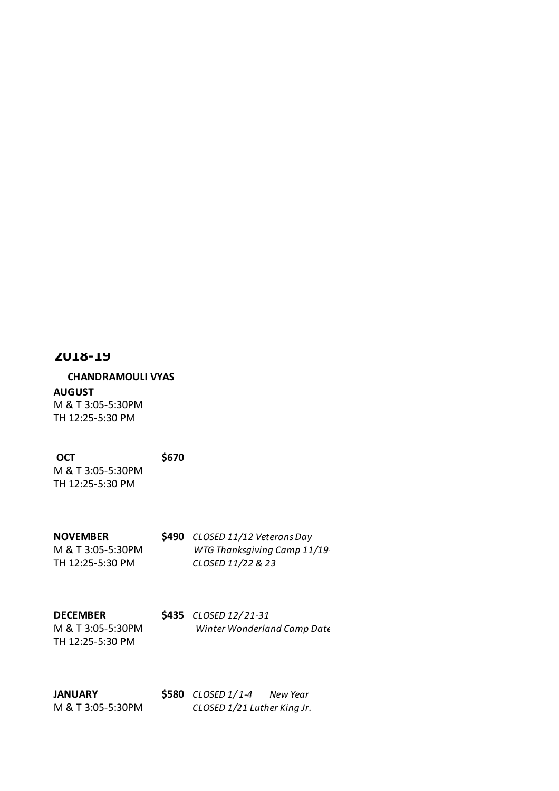## **2018-19**

## **CHANDRAMOULI VYAS**

**AUGUST** M & T 3:05-5:30PM TH 12:25-5:30 PM

 **OCT \$670** M & T 3:05-5:30PM TH 12:25-5:30 PM

TH 12:25-5:30 PM *CLOSED 11/22 & 23*

**NOVEMBER** *CLOSED 11/12 Veterans Day* **\$490**  *WTG Thanksgiving Camp 11/19-21 (aditional fee)* M & T 3:05-5:30PM

**DECEMBER \$435** *CLOSED 12/ 21-31*  M & T 3:05-5:30PM Winter Wonderland Camp Date TH 12:25-5:30 PM

**JANUARY \$580** *CLOSED 1/ 1-4 New Year* M & T 3:05-5:30PM *CLOSED 1/21 Luther King Jr.*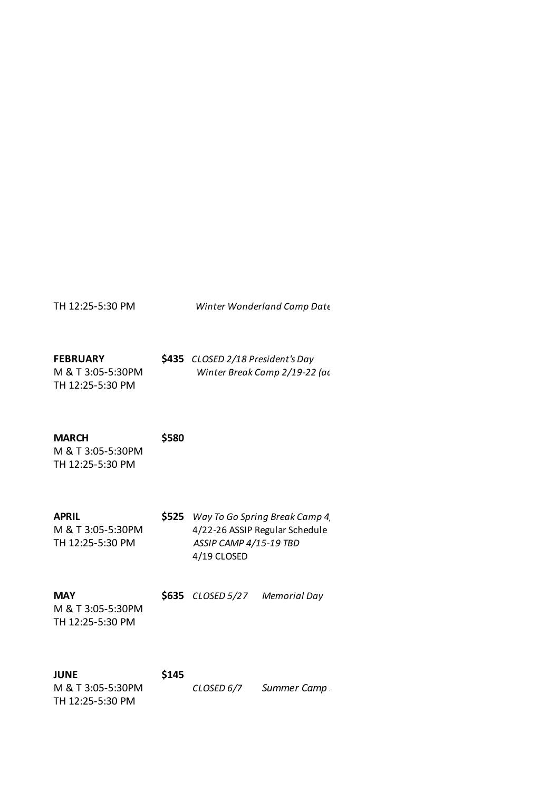TH 12:25-5:30 PM Winter Wonderland Camp Date

TH 12:25-5:30 PM

**FEBRUARY** *CLOSED 2/18 President's Day* **\$435** M & T 3:05-5:30PM *Winter Break Camp 2/19-22 (acambrer 8reak Camp 2/19-22 (acambrer 6)* 

**MARCH \$580** M & T 3:05-5:30PM TH 12:25-5:30 PM

**APRIL \$525** *Way To Go Spring Break Camp 4,* M & T 3:05-5:30PM 4/22-26 ASSIP Regular Schedule TH 12:25-5:30 PM *ASSIP CAMP 4/15-19 TBD* 4/19 CLOSED

**MAY \$635** *CLOSED 5/27 Memorial Day* M & T 3:05-5:30PM

TH 12:25-5:30 PM

**JUNE \$145**

M & T 3:05-5:30PM *CLOSED 6/7 Summer Camp* TH 12:25-5:30 PM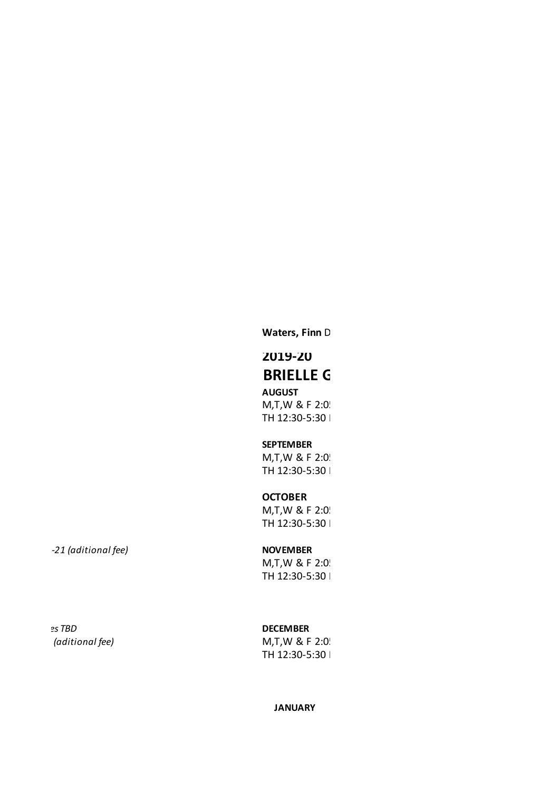**Waters, Finn D** 

## **2019-20 BRIELLE G**

**AUGUST**  $M, T, W$  & F 2:0! TH 12:30-5:30 |

## **SEPTEMBER**

 $M, T, W$  & F 2:0! TH 12:30-5:30 |

## **OCTOBER**

 $M, T, W$  & F 2:0! TH 12:30-5:30 |

 *WTG Thanksgiving Camp 11/19-21 (aditional fee)* **NOVEMBER**

 $M, T, W$  & F 2:0! TH 12:30-5:30 |

# *Winter Wonderland Camp Dates TBD* **DECEMBER**

*(aditional fee)* M,T, W & F 2:0! TH 12:30-5:30 |

## **JANUARY**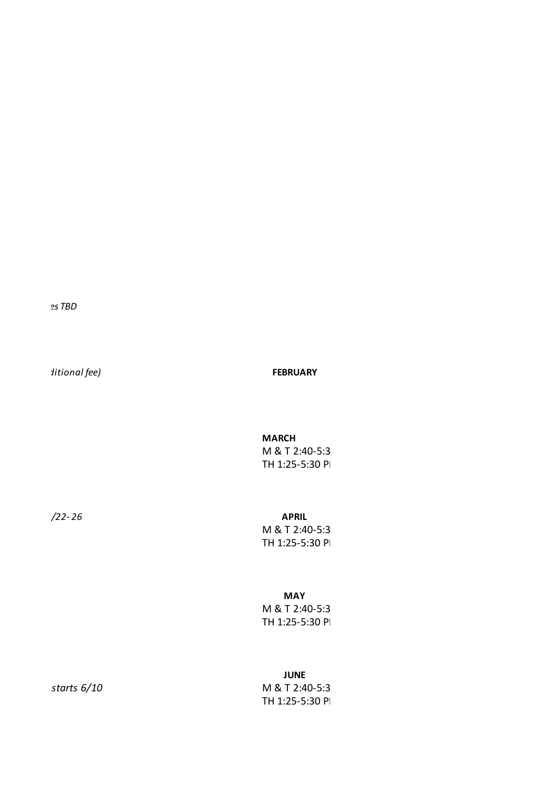*Winter Wonderland Camp Dates TBD* 

 *Winter Break Camp 2/19-22 (aditional fee)* **FEBRUARY**

**MARCH** M & T 2:40-5:3 TH 1:25-5:30 PI

*Way To Go Spring Break Camp 4/22- 26* **APRIL** M & T 2:40-5:3 TH 1:25-5:30 PI

> **MAY** M & T 2:40-5:3

> TH 1:25-5:30 P

**JUNE** *Starts 6/10* M & T 2:40-5:3 TH 1:25-5:30 PI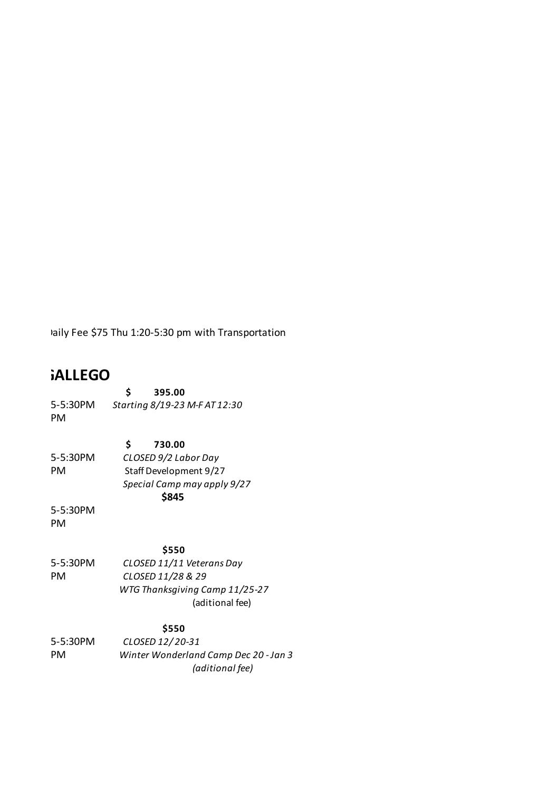**Waily Fee \$75 Thu 1:20-5:30 pm with Transportation** 

## **BALLEGO**

|                | \$<br>395.00                          |
|----------------|---------------------------------------|
| 5-5:30PM<br>PM | Starting 8/19-23 M-F AT 12:30         |
|                | \$<br>730.00                          |
| 5-5:30PM       | CLOSED 9/2 Labor Day                  |
| PM             | Staff Development 9/27                |
|                | Special Camp may apply 9/27           |
|                | \$845                                 |
| 5-5:30PM       |                                       |
| PM             |                                       |
|                | \$550                                 |
| 5-5:30PM       | CLOSED 11/11 Veterans Day             |
| PM             | CLOSED 11/28 & 29                     |
|                | WTG Thanksgiving Camp 11/25-27        |
|                | (aditional fee)                       |
|                | \$550                                 |
| 5-5:30PM       | CLOSED 12/20-31                       |
| PM             | Winter Wonderland Camp Dec 20 - Jan 3 |
|                | (aditional fee)                       |
|                |                                       |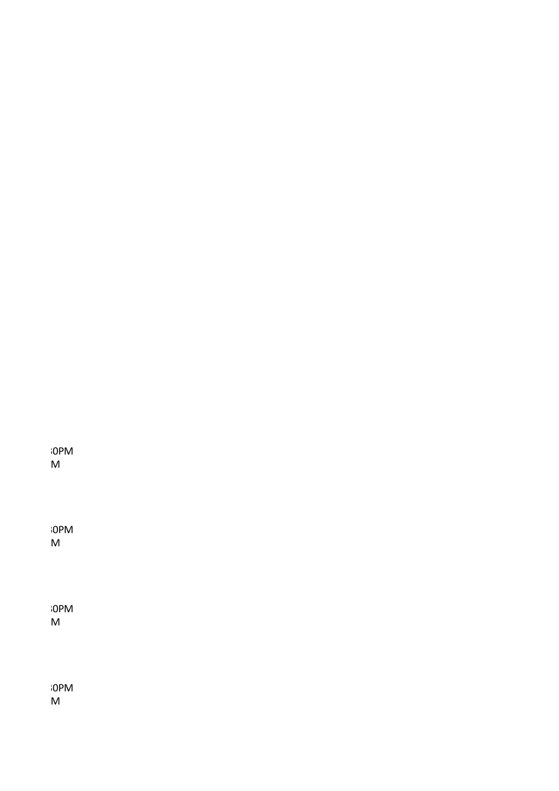$M<sub>2</sub>$ 

 $OPT$  $M<sub>1</sub>$ 

 $OPT$ 

 $OPTM$  $M<sub>1</sub>$ 

 $OPT$  $M<sub>1</sub>$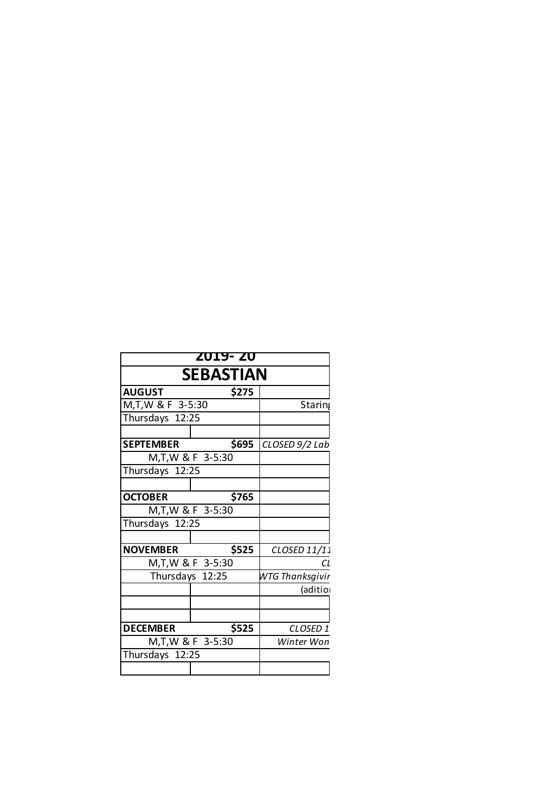|                    | <u>ZUIY- ZU</u>    |                        |
|--------------------|--------------------|------------------------|
|                    | <b>SEBASTIAN</b>   |                        |
| <b>AUGUST</b>      | \$275              |                        |
| M, T, W & F 3-5:30 |                    | Staring                |
| Thursdays 12:25    |                    |                        |
| <b>SEPTEMBER</b>   | \$695              | CLOSED 9/2 Lab         |
|                    | M, T, W & F 3-5:30 |                        |
| Thursdays 12:25    |                    |                        |
|                    |                    |                        |
| <b>OCTOBER</b>     | \$765              |                        |
|                    | M, T, W & F 3-5:30 |                        |
| Thursdays 12:25    |                    |                        |
|                    |                    |                        |
| <b>NOVEMBER</b>    | \$525              | CLOSED 11/11           |
|                    | M, T, W & F 3-5:30 | СI                     |
| Thursdays 12:25    |                    | <b>WTG Thanksgivir</b> |
|                    |                    | (aditior               |
|                    |                    |                        |
| <b>DECEMBER</b>    | \$525              | CLOSED 1               |
|                    | M,T,W & F 3-5:30   | Winter Won             |
| Thursdays 12:25    |                    |                        |
|                    |                    |                        |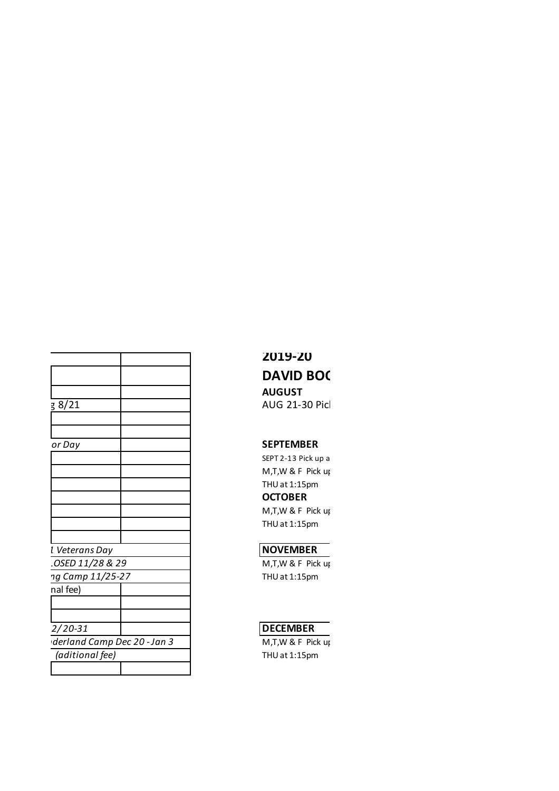| 38/21            |                             |
|------------------|-----------------------------|
|                  |                             |
|                  |                             |
| or Day           |                             |
|                  |                             |
|                  |                             |
|                  |                             |
|                  |                             |
|                  |                             |
|                  |                             |
| l Veterans Day   |                             |
| OSED 11/28 & 29  |                             |
| ng Camp 11/25-27 |                             |
| nal fee)         |                             |
|                  |                             |
|                  |                             |
| $2/20 - 31$      |                             |
|                  | derland Camp Dec 20 - Jan 3 |
| (aditional fee)  |                             |
|                  |                             |

## **2019-20 DAVID BOC AUGUST** AUG 21-30 Picl

## *CLOSED 9/2 Labor Day* **SEPTEMBER**

SEPT 2-13 Pick up a  $M,T,W$  & F Pick up THU at 1:15pm **OCTOBER**  $M,T,W$  & F Pick up THU at 1:15pm

## **NOVEMBER**

 $M,T,W$  & F Pick up  *WTG Thanksgiving Camp 11/25-27* THU at 1:15pm

## **DECEMBER**

 $M,T,W$  & F Pick up *(aditional fee)* THU at 1:15pm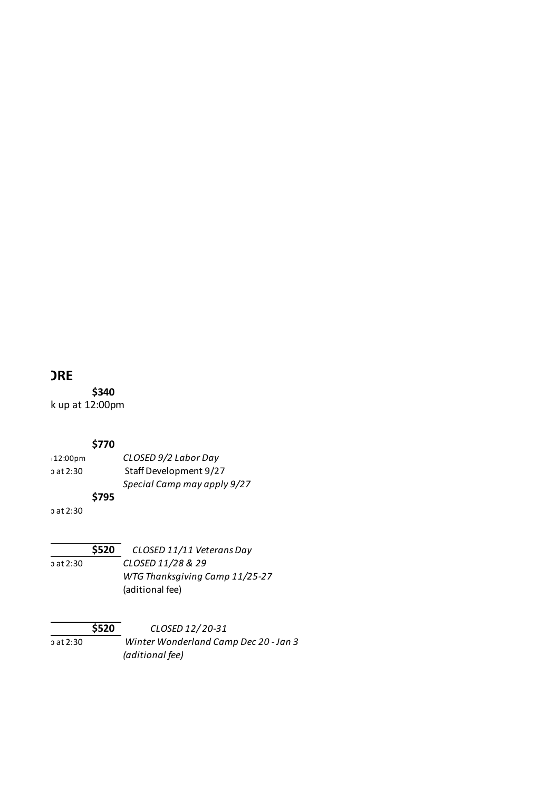## **DRE**

**\$340** k up at 12:00pm

#### **\$770**

12:00pm *CLOSED 9/2 Labor Day* o at 2:30 Staff Development 9/27 *Special Camp may apply 9/27* **\$795**

#### ว at 2:30

- **\$520**  $\overline{$  $\overline{$  $\overline{$  $\overline{$  $\overline{}}$  at 2:30 *WTG Thanksgiving Camp 11/25-27 CLOSED 11/28 & 29* (aditional fee)  *CLOSED 11/11 Veterans Day*
- **\$520**  $\overline{\text{Sat 2:30}}$  Winter Wonderland Camp Dec 20 - Jan 3 *(aditional fee) CLOSED 12/ 20-31*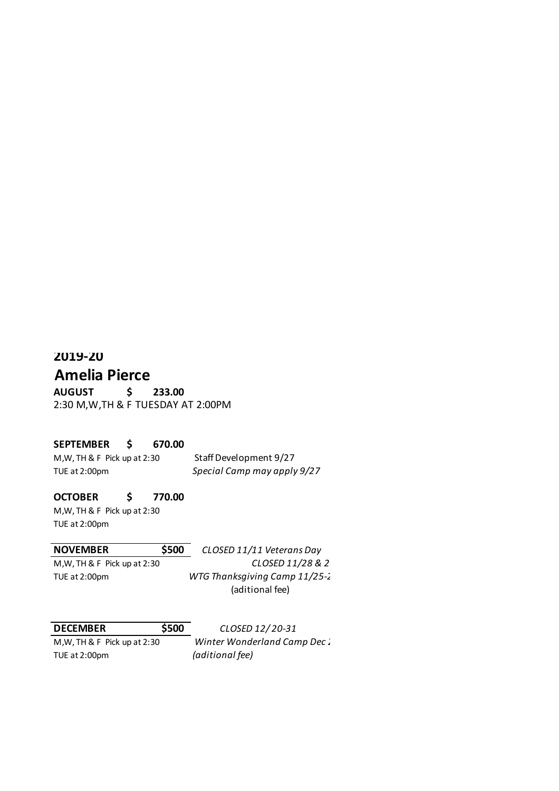## **2019-20 Amelia Pierce**

**AUGUST \$ 233.00** 2:30 M,W,TH & F TUESDAY AT 2:00PM

## **SEPTEMBER \$ 670.00**

M,W, TH & F Pick up at 2:30 Staff Development 9/27 TUE at 2:00pm *Special Camp may apply 9/27*

#### **OCTOBER \$ 770.00**

M,W, TH & F Pick up at 2:30 TUE at 2:00pm

## **NOVEMBER \$500**

M,W, TH & F Pick up at 2:30

TUE at 2:00pm *WTG Thanksgiving Camp 11/25-27*  CLOSED 11/28 & 2 (aditional fee)  *CLOSED 11/11 Veterans Day*

## **DECEMBER \$500**

TUE at 2:00pm *(aditional fee)*

M,W, TH & F Pick up at 2:30 *Winter Wonderland Camp Dec 20 - Jan 3 CLOSED 12/ 20-31*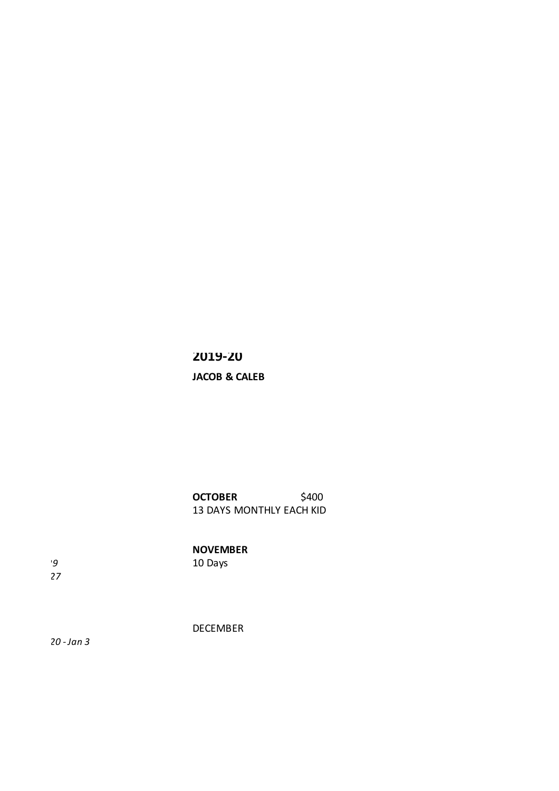**2019-20 JACOB & CALEB**

**OCTOBER** \$400 13 DAYS MONTHLY EACH KID

**NOVEMBER** 10 Days

 *WTG Thanksgiving Camp 11/25-27 CLOSED 11/28 & 29*

DECEMBER

 *Winter Wonderland Camp Dec 20 - Jan 3*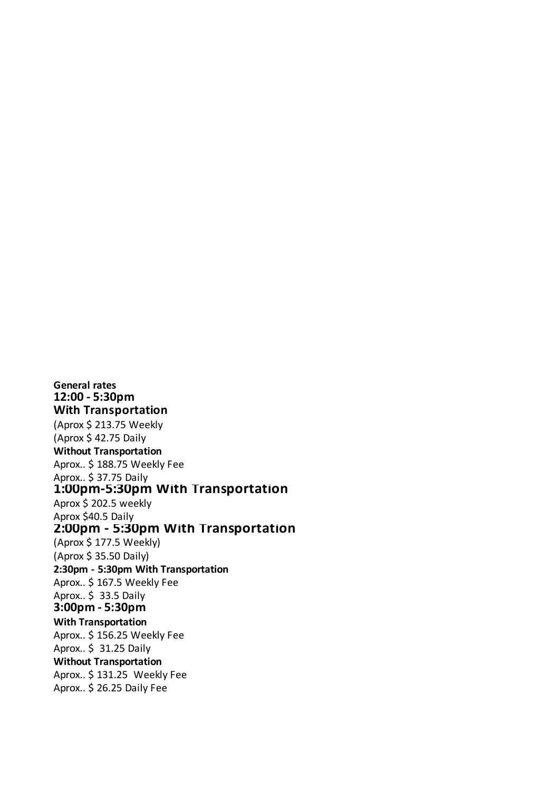**General rates 12:00 - 5:30pm With Transportation** (Aprox \$ 213.75 Weekly (Aprox \$ 42.75 Daily **Without Transportation**  Aprox.. \$ 188.75 Weekly Fee Aprox.. \$ 37.75 Daily **1:00pm-5:30pm With Transportation** Aprox \$ 202.5 weekly Aprox \$40.5 Daily **2:00pm - 5:30pm With Transportation** (Aprox \$ 177.5 Weekly) (Aprox \$ 35.50 Daily) **2:30pm - 5:30pm With Transportation** Aprox.. \$ 167.5 Weekly Fee Aprox.. \$ 33.5 Daily **3:00pm - 5:30pm With Transportation** Aprox.. \$ 156.25 Weekly Fee Aprox.. \$ 31.25 Daily **Without Transportation**  Aprox.. \$ 131.25 Weekly Fee Aprox.. \$ 26.25 Daily Fee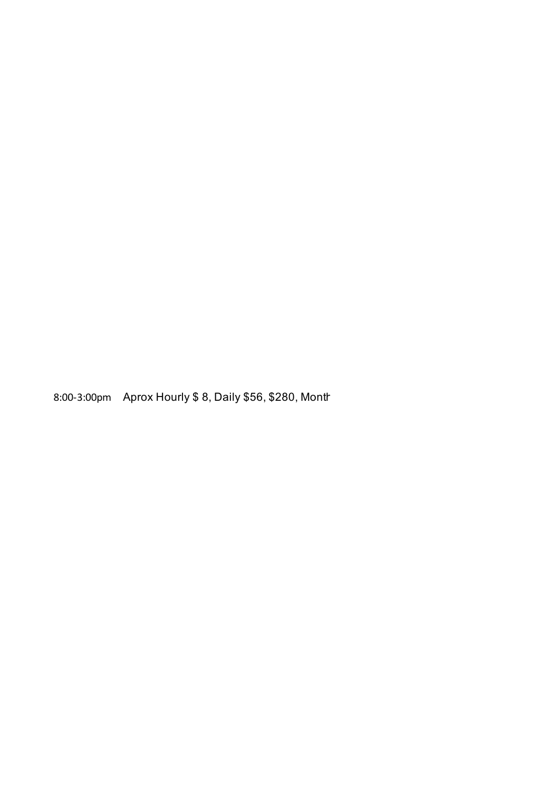8:00-3:00pm Aprox Hourly \$ 8, Daily \$56, \$280, Month